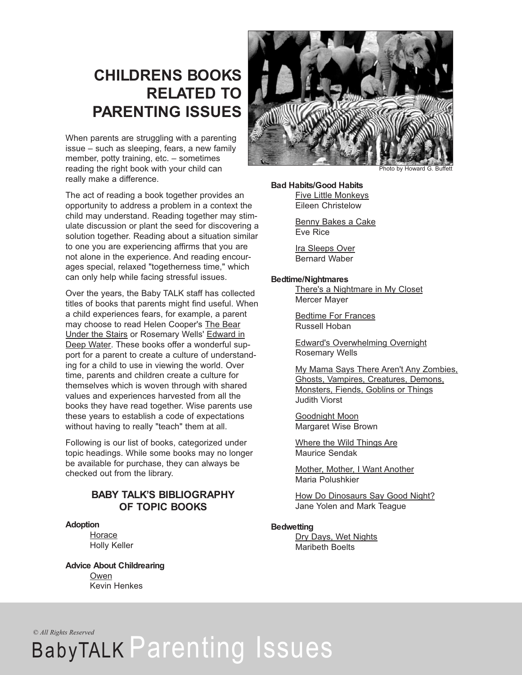# **CHILDRENS BOOKS RELATED TO PARENTING ISSUES**

When parents are struggling with a parenting issue – such as sleeping, fears, a new family member, potty training, etc. – sometimes reading the right book with your child can really make a difference.

The act of reading a book together provides an opportunity to address a problem in a context the child may understand. Reading together may stimulate discussion or plant the seed for discovering a solution together. Reading about a situation similar to one you are experiencing affirms that you are not alone in the experience. And reading encourages special, relaxed "togetherness time," which can only help while facing stressful issues.

Over the years, the Baby TALK staff has collected titles of books that parents might find useful. When a child experiences fears, for example, a parent may choose to read Helen Cooper's The Bear Under the Stairs or Rosemary Wells' Edward in Deep Water. These books offer a wonderful support for a parent to create a culture of understanding for a child to use in viewing the world. Over time, parents and children create a culture for themselves which is woven through with shared values and experiences harvested from all the books they have read together. Wise parents use these years to establish a code of expectations without having to really "teach" them at all.

Following is our list of books, categorized under topic headings. While some books may no longer be available for purchase, they can always be checked out from the library.

# **BABY TALK'S BIBLIOGRAPHY OF TOPIC BOOKS**

# **Adoption**

**Horace** Holly Keller

**Advice About Childrearing** Owen Kevin Henkes



Photo by Howard G. Buffett

# **Bad Habits/Good Habits**

Five Little Monkeys Eileen Christelow

Benny Bakes a Cake Eve Rice

Ira Sleeps Over Bernard Waber

### **Bedtime/Nightmares**

There's a Nightmare in My Closet Mercer Mayer

Bedtime For Frances Russell Hoban

Edward's Overwhelming Overnight Rosemary Wells

My Mama Says There Aren't Any Zombies, Ghosts, Vampires, Creatures, Demons, Monsters, Fiends, Goblins or Things Judith Viorst

Goodnight Moon Margaret Wise Brown

Where the Wild Things Are Maurice Sendak

Mother, Mother, I Want Another Maria Polushkier

How Do Dinosaurs Say Good Night? Jane Yolen and Mark Teague

# **Bedwetting**

Dry Days, Wet Nights Maribeth Boelts

# *© All Rights Reserved* BabyTALK Parenting Issues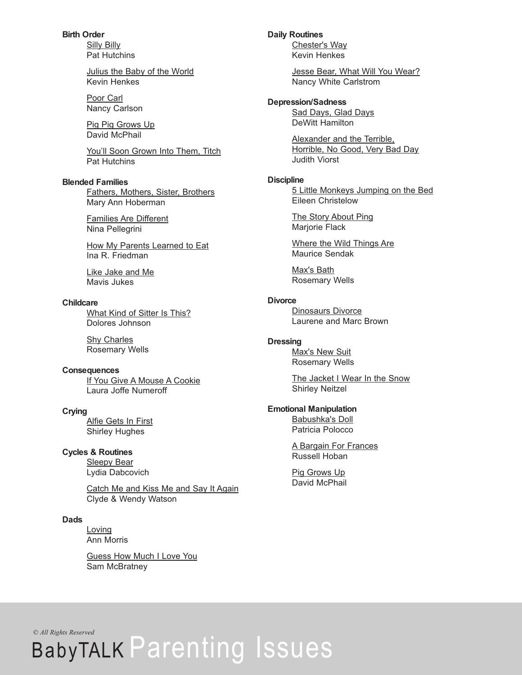**Birth Order** Silly Billy Pat Hutchins

> Julius the Baby of the World Kevin Henkes

Poor Carl Nancy Carlson

Pig Pig Grows Up David McPhail

You'll Soon Grown Into Them, Titch Pat Hutchins

### **Blended Families**

Fathers, Mothers, Sister, Brothers Mary Ann Hoberman

Families Are Different Nina Pellegrini

How My Parents Learned to Eat Ina R. Friedman

Like Jake and Me Mavis Jukes

### **Childcare**

What Kind of Sitter Is This? Dolores Johnson

Shy Charles Rosemary Wells

### **Consequences**

If You Give A Mouse A Cookie Laura Joffe Numeroff

### **Crying**

**Alfie Gets In First** Shirley Hughes

### **Cycles & Routines**

Sleepy Bear Lydia Dabcovich

Catch Me and Kiss Me and Say It Again Clyde & Wendy Watson

### **Dads**

Loving Ann Morris

Guess How Much I Love You Sam McBratney

**Daily Routines**

Chester's Way Kevin Henkes

Jesse Bear, What Will You Wear? Nancy White Carlstrom

# **Depression/Sadness**

Sad Days, Glad Days DeWitt Hamilton

Alexander and the Terrible, Horrible, No Good, Very Bad Day Judith Viorst

### **Discipline**

5 Little Monkeys Jumping on the Bed Eileen Christelow

The Story About Ping Marjorie Flack

Where the Wild Things Are Maurice Sendak

Max's Bath Rosemary Wells

# **Divorce**

Dinosaurs Divorce Laurene and Marc Brown

### **Dressing**

**Max's New Suit** Rosemary Wells

The Jacket I Wear In the Snow Shirley Neitzel

### **Emotional Manipulation**

Babushka's Doll Patricia Polocco

A Bargain For Frances Russell Hoban

Pig Grows Up David McPhail

# *© All Rights Reserved*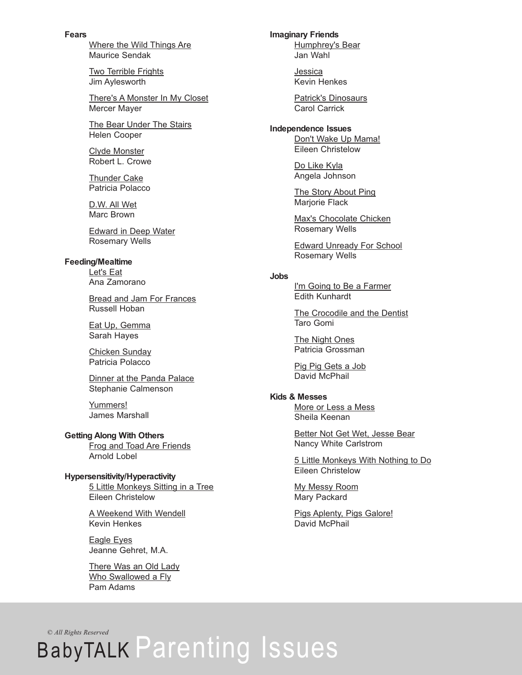**Fears**

Where the Wild Things Are Maurice Sendak

Two Terrible Frights Jim Aylesworth

There's A Monster In My Closet Mercer Mayer

The Bear Under The Stairs Helen Cooper

Clyde Monster Robert L. Crowe

Thunder Cake Patricia Polacco

D.W. All Wet Marc Brown

Edward in Deep Water Rosemary Wells

# **Feeding/Mealtime**

Let's Eat Ana Zamorano

Bread and Jam For Frances Russell Hoban

Eat Up, Gemma Sarah Hayes

Chicken Sunday Patricia Polacco

Dinner at the Panda Palace Stephanie Calmenson

Yummers! James Marshall

# **Getting Along With Others**

Frog and Toad Are Friends Arnold Lobel

# **Hypersensitivity/Hyperactivity**

5 Little Monkeys Sitting in a Tree Eileen Christelow

A Weekend With Wendell Kevin Henkes

Eagle Eyes Jeanne Gehret, M.A.

There Was an Old Lady Who Swallowed a Fly Pam Adams

**Imaginary Friends** Humphrey's Bear

Jan Wahl

Jessica Kevin Henkes

Patrick's Dinosaurs Carol Carrick

# **Independence Issues**

Don't Wake Up Mama! Eileen Christelow

Do Like Kyla Angela Johnson

The Story About Ping Marjorie Flack

Max's Chocolate Chicken Rosemary Wells

Edward Unready For School Rosemary Wells

# **Jobs**

I'm Going to Be a Farmer Edith Kunhardt

The Crocodile and the Dentist Taro Gomi

The Night Ones Patricia Grossman

Pig Pig Gets a Job David McPhail

# **Kids & Messes**

More or Less a Mess Sheila Keenan

Better Not Get Wet, Jesse Bear Nancy White Carlstrom

5 Little Monkeys With Nothing to Do Eileen Christelow

My Messy Room Mary Packard

Pigs Aplenty, Pigs Galore! David McPhail

# *© All Rights Reserved* BabyTALK Parenting Issues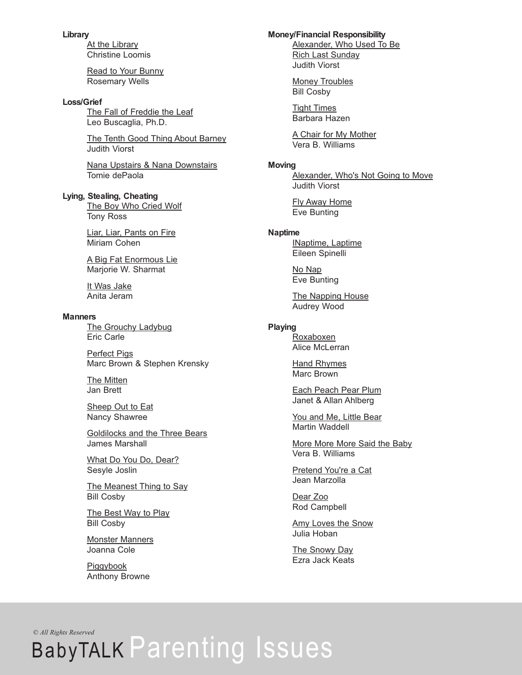### **Library**

At the Library Christine Loomis

Read to Your Bunny Rosemary Wells

### **Loss/Grief**

The Fall of Freddie the Leaf Leo Buscaglia, Ph.D.

The Tenth Good Thing About Barney Judith Viorst

Nana Upstairs & Nana Downstairs Tomie dePaola

# **Lying, Stealing, Cheating**

The Boy Who Cried Wolf Tony Ross

Liar, Liar, Pants on Fire Miriam Cohen

A Big Fat Enormous Lie Marjorie W. Sharmat

It Was Jake Anita Jeram

#### **Manners**

The Grouchy Ladybug Eric Carle

Perfect Pigs Marc Brown & Stephen Krensky

The Mitten Jan Brett

Sheep Out to Eat Nancy Shawree

Goldilocks and the Three Bears James Marshall

What Do You Do, Dear? Sesyle Joslin

The Meanest Thing to Say Bill Cosby

The Best Way to Play Bill Cosby

Monster Manners Joanna Cole

Piggybook Anthony Browne

### **Money/Financial Responsibility**

Alexander, Who Used To Be Rich Last Sunday Judith Viorst

Money Troubles Bill Cosby

Tight Times Barbara Hazen

A Chair for My Mother Vera B. Williams

#### **Moving**

Alexander, Who's Not Going to Move Judith Viorst

Fly Away Home Eve Bunting

#### **Naptime**

INaptime, Laptime Eileen Spinelli

No Nap Eve Bunting

The Napping House Audrey Wood

# **Playing**

Roxaboxen Alice McLerran

Hand Rhymes Marc Brown

Each Peach Pear Plum Janet & Allan Ahlberg

You and Me, Little Bear Martin Waddell

More More More Said the Baby Vera B. Williams

Pretend You're a Cat Jean Marzolla

Dear Zoo Rod Campbell

Amy Loves the Snow Julia Hoban

The Snowy Day Ezra Jack Keats

*© All Rights Reserved*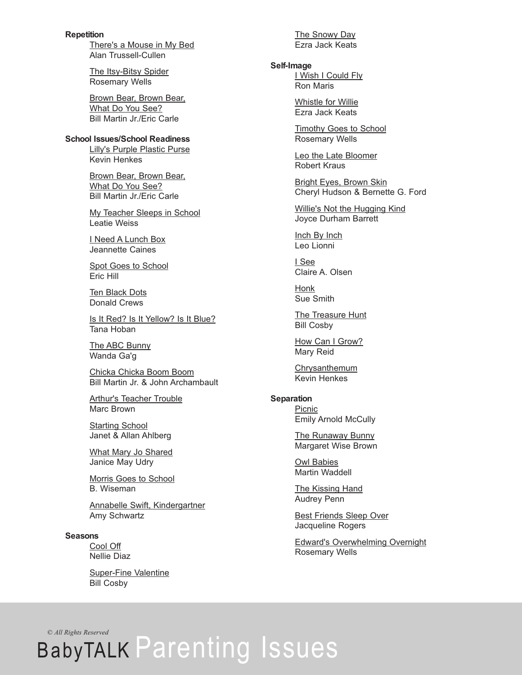**Repetition** There's a Mouse in My Bed Alan Trussell-Cullen

> The Itsy-Bitsy Spider Rosemary Wells

Brown Bear, Brown Bear, What Do You See? Bill Martin Jr./Eric Carle

# **School Issues/School Readiness**

Lilly's Purple Plastic Purse Kevin Henkes

Brown Bear, Brown Bear, What Do You See? Bill Martin Jr./Eric Carle

My Teacher Sleeps in School Leatie Weiss

I Need A Lunch Box Jeannette Caines

Spot Goes to School Eric Hill

Ten Black Dots Donald Crews

Is It Red? Is It Yellow? Is It Blue? Tana Hoban

The ABC Bunny Wanda Ga'g

Chicka Chicka Boom Boom Bill Martin Jr. & John Archambault

Arthur's Teacher Trouble Marc Brown

Starting School Janet & Allan Ahlberg

What Mary Jo Shared Janice May Udry

Morris Goes to School B. Wiseman

Annabelle Swift, Kindergartner Amy Schwartz

### **Seasons**

Cool Off Nellie Diaz

Super-Fine Valentine Bill Cosby

The Snowy Day Ezra Jack Keats

### **Self-Image**

I Wish I Could Fly Ron Maris

Whistle for Willie Ezra Jack Keats

Timothy Goes to School Rosemary Wells

Leo the Late Bloomer Robert Kraus

Bright Eyes, Brown Skin Cheryl Hudson & Bernette G. Ford

Willie's Not the Hugging Kind Joyce Durham Barrett

Inch By Inch Leo Lionni

I See Claire A. Olsen

Honk Sue Smith

The Treasure Hunt Bill Cosby

How Can I Grow? Mary Reid

**Chrysanthemum** Kevin Henkes

# **Separation**

**Picnic** Emily Arnold McCully

**The Runaway Bunny** Margaret Wise Brown

Owl Babies Martin Waddell

The Kissing Hand Audrey Penn

Best Friends Sleep Over Jacqueline Rogers

Edward's Overwhelming Overnight Rosemary Wells

*© All Rights Reserved*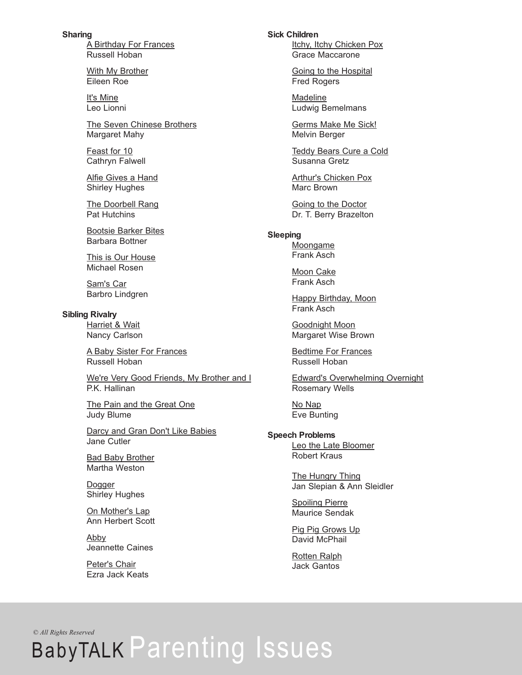**Sharing** A Birthday For Frances Russell Hoban

> With My Brother Eileen Roe

It's Mine Leo Lionni

The Seven Chinese Brothers Margaret Mahy

Feast for 10 Cathryn Falwell

Alfie Gives a Hand Shirley Hughes

The Doorbell Rang Pat Hutchins

Bootsie Barker Bites Barbara Bottner

This is Our House Michael Rosen

Sam's Car Barbro Lindgren

**Sibling Rivalry**

Harriet & Wait Nancy Carlson

A Baby Sister For Frances Russell Hoban

We're Very Good Friends, My Brother and I P.K. Hallinan

The Pain and the Great One Judy Blume

Darcy and Gran Don't Like Babies Jane Cutler

Bad Baby Brother Martha Weston

Dogger Shirley Hughes

On Mother's Lap Ann Herbert Scott

Abby Jeannette Caines

Peter's Chair Ezra Jack Keats **Sick Children**

Itchy, Itchy Chicken Pox Grace Maccarone

Going to the Hospital Fred Rogers

**Madeline** Ludwig Bemelmans

Germs Make Me Sick! Melvin Berger

Teddy Bears Cure a Cold Susanna Gretz

Arthur's Chicken Pox Marc Brown

Going to the Doctor Dr. T. Berry Brazelton

### **Sleeping**

Moongame Frank Asch

Moon Cake Frank Asch

Happy Birthday, Moon Frank Asch

Goodnight Moon Margaret Wise Brown

Bedtime For Frances Russell Hoban

Edward's Overwhelming Overnight Rosemary Wells

No Nap Eve Bunting

### **Speech Problems**

Leo the Late Bloomer Robert Kraus

The Hungry Thing Jan Slepian & Ann Sleidler

Spoiling Pierre Maurice Sendak

Pig Pig Grows Up David McPhail

Rotten Ralph Jack Gantos

*© All Rights Reserved*